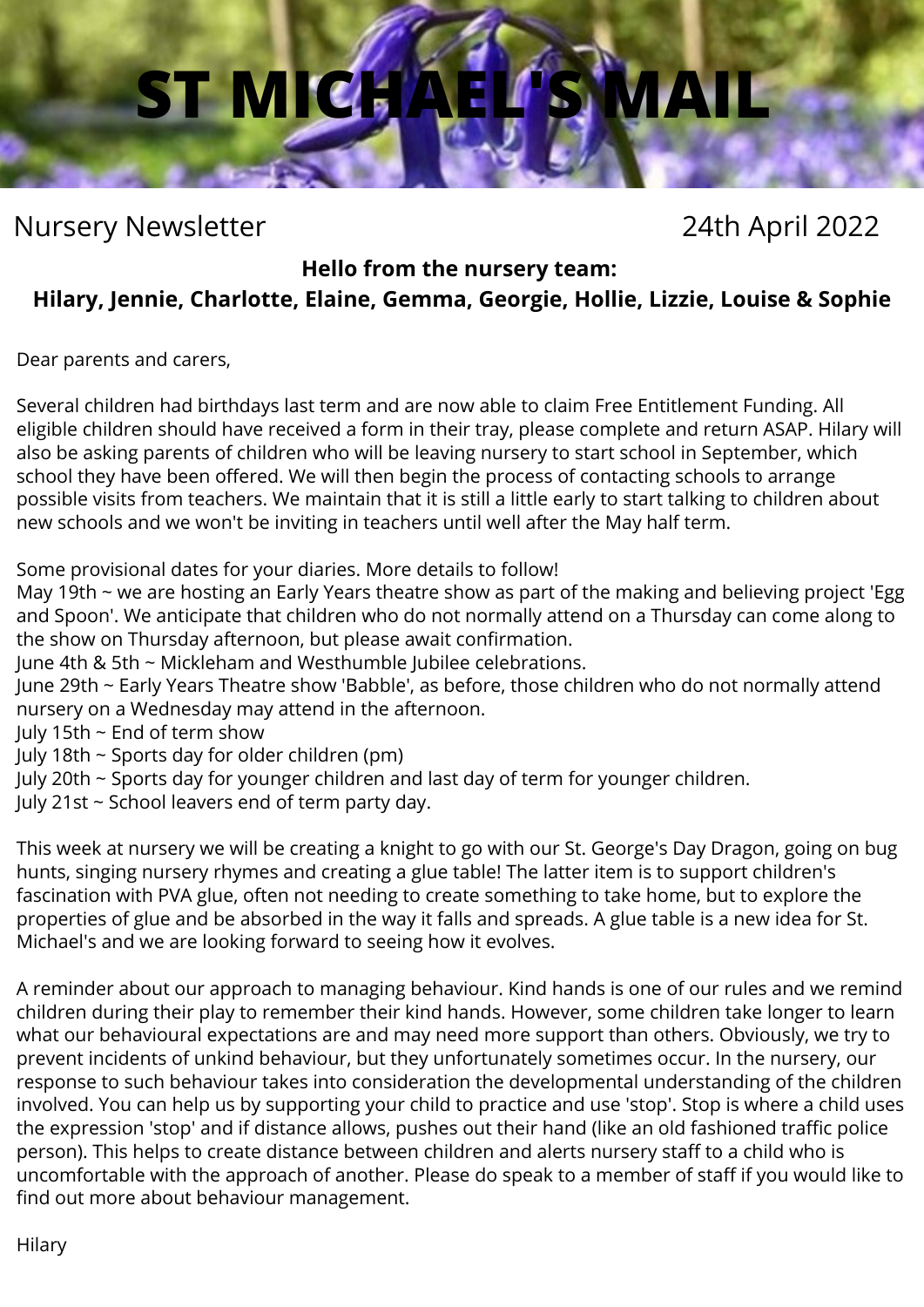# **ST MICHAEL'S MAIL**

# Nursery Newsletter 24th April 2022

### **Hello from the nursery team:**

# **Hilary, Jennie, Charlotte, Elaine, Gemma, Georgie, Hollie, Lizzie, Louise & Sophie**

Dear parents and carers,

Several children had birthdays last term and are now able to claim Free Entitlement Funding. All eligible children should have received a form in their tray, please complete and return ASAP. Hilary will also be asking parents of children who will be leaving nursery to start school in September, which school they have been offered. We will then begin the process of contacting schools to arrange possible visits from teachers. We maintain that it is still a little early to start talking to children about new schools and we won't be inviting in teachers until well after the May half term.

Some provisional dates for your diaries. More details to follow!

May 19th ~ we are hosting an Early Years theatre show as part of the making and believing project 'Egg and Spoon'. We anticipate that children who do not normally attend on a Thursday can come along to the show on Thursday afternoon, but please await confirmation.

June 4th & 5th ~ Mickleham and Westhumble Jubilee celebrations.

June 29th ~ Early Years Theatre show 'Babble', as before, those children who do not normally attend nursery on a Wednesday may attend in the afternoon.

July 15th ~ End of term show

July 18th ~ Sports day for older children (pm)

July 20th ~ Sports day for younger children and last day of term for younger children.

July 21st ~ School leavers end of term party day.

This week at nursery we will be creating a knight to go with our St. George's Day Dragon, going on bug hunts, singing nursery rhymes and creating a glue table! The latter item is to support children's fascination with PVA glue, often not needing to create something to take home, but to explore the properties of glue and be absorbed in the way it falls and spreads. A glue table is a new idea for St. Michael's and we are looking forward to seeing how it evolves.

A reminder about our approach to managing behaviour. Kind hands is one of our rules and we remind children during their play to remember their kind hands. However, some children take longer to learn what our behavioural expectations are and may need more support than others. Obviously, we try to prevent incidents of unkind behaviour, but they unfortunately sometimes occur. In the nursery, our response to such behaviour takes into consideration the developmental understanding of the children involved. You can help us by supporting your child to practice and use 'stop'. Stop is where a child uses the expression 'stop' and if distance allows, pushes out their hand (like an old fashioned traffic police person). This helps to create distance between children and alerts nursery staff to a child who is uncomfortable with the approach of another. Please do speak to a member of staff if you would like to find out more about behaviour management.

Hilary